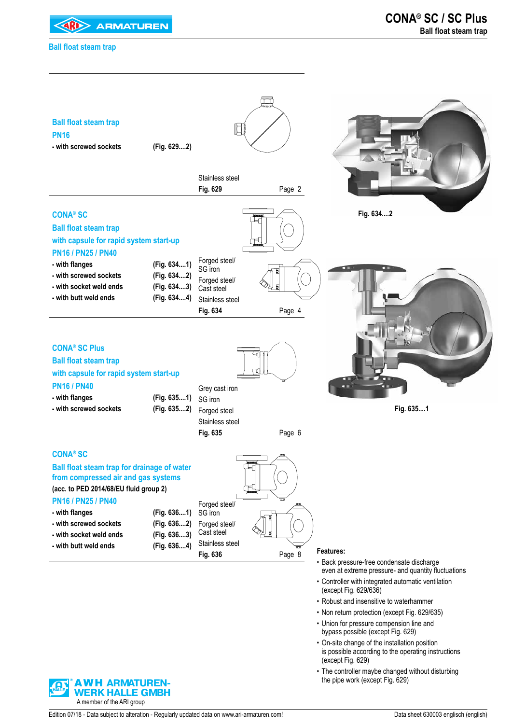

### **Ball float steam trap**



- Robust and insensitive to waterhammer
- Non return protection (except Fig. 629/635)
- Union for pressure compension line and bypass possible (except Fig. 629)
- On-site change of the installation position is possible according to the operating instructions (except Fig. 629)
- The controller maybe changed without disturbing the pipe work (except Fig. 629)

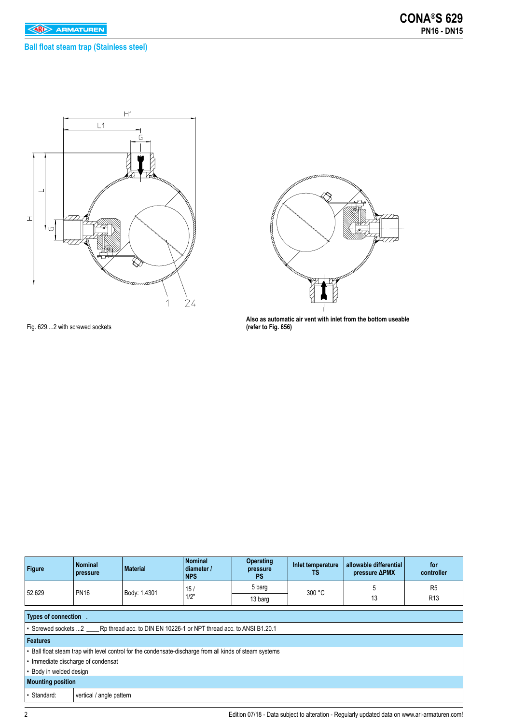### **Ball float steam trap (Stainless steel)**





**Also as automatic air vent with inlet from the bottom useable (refer to Fig. 656)**

Fig. 629....2 with screwed sockets

| Figure                  | <b>Nominal</b><br>pressure         | <b>Material</b>                                                                                         | <b>Nominal</b><br>diameter /<br><b>NPS</b> | <b>Operating</b><br>pressure<br><b>PS</b> | Inlet temperature<br>TS | allowable differential<br>pressure ΔPMX | for<br>controller |  |
|-------------------------|------------------------------------|---------------------------------------------------------------------------------------------------------|--------------------------------------------|-------------------------------------------|-------------------------|-----------------------------------------|-------------------|--|
| 52.629                  | <b>PN16</b>                        | Body: 1.4301                                                                                            | 15 <sub>l</sub>                            | 5 barg                                    | 300 °C                  | 5                                       | R <sub>5</sub>    |  |
|                         |                                    |                                                                                                         | 1/2"                                       | 13 barg                                   |                         | 13                                      | R <sub>13</sub>   |  |
| Types of connection.    |                                    |                                                                                                         |                                            |                                           |                         |                                         |                   |  |
|                         |                                    | • Screwed sockets 2 Rp thread acc. to DIN EN 10226-1 or NPT thread acc. to ANSI B1.20.1                 |                                            |                                           |                         |                                         |                   |  |
| <b>Features</b>         |                                    |                                                                                                         |                                            |                                           |                         |                                         |                   |  |
|                         |                                    | • Ball float steam trap with level control for the condensate-discharge from all kinds of steam systems |                                            |                                           |                         |                                         |                   |  |
|                         | • Immediate discharge of condensat |                                                                                                         |                                            |                                           |                         |                                         |                   |  |
| • Body in welded design |                                    |                                                                                                         |                                            |                                           |                         |                                         |                   |  |
|                         | <b>Mounting position</b>           |                                                                                                         |                                            |                                           |                         |                                         |                   |  |
| • Standard:             | vertical / angle pattern           |                                                                                                         |                                            |                                           |                         |                                         |                   |  |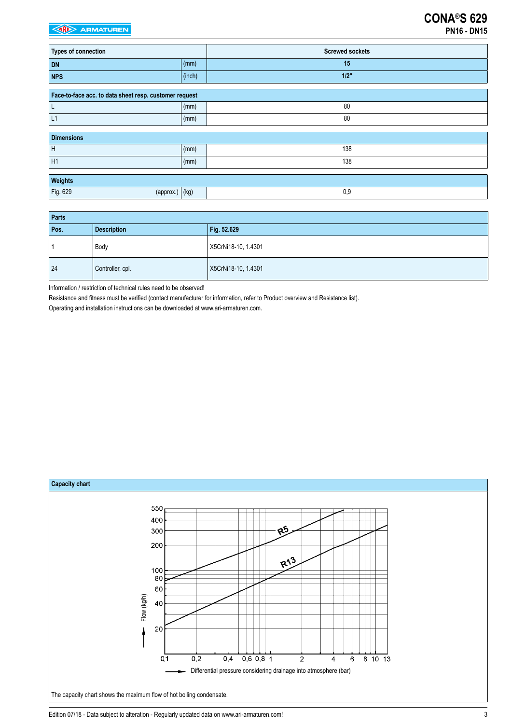| <b>Types of connection</b>                             |              | <b>Screwed sockets</b> |
|--------------------------------------------------------|--------------|------------------------|
| <b>DN</b>                                              | (mm)         | 15                     |
| <b>NPS</b>                                             | (inch)       | $1/2$ "                |
| Face-to-face acc. to data sheet resp. customer request |              |                        |
| L                                                      | (mm)         | 80                     |
| L1                                                     | (mm)         | 80                     |
| <b>Dimensions</b>                                      |              |                        |
| H                                                      | (mm)         | 138                    |
| H1                                                     | (mm)         | 138                    |
| Weights                                                |              |                        |
| Fig. 629<br>(approx.)                                  | $\vert$ (kg) | 0,9                    |

| Parts |                    |                     |  |  |  |
|-------|--------------------|---------------------|--|--|--|
| Pos.  | <b>Description</b> | Fig. 52.629         |  |  |  |
|       | Body               | X5CrNi18-10, 1.4301 |  |  |  |
| 24    | Controller, cpl.   | X5CrNi18-10, 1.4301 |  |  |  |

Information / restriction of technical rules need to be observed!

Resistance and fitness must be verified (contact manufacturer for information, refer to Product overview and Resistance list).

Operating and installation instructions can be downloaded at www.ari-armaturen.com.



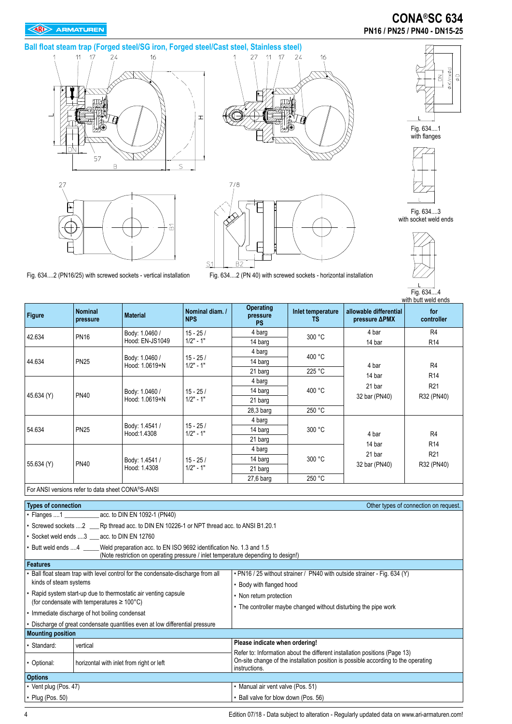### **EXP** ARMATUREN

# **CONA®SC 634 PN16 / PN25 / PN40 - DN15-25**

**Ball float steam trap (Forged steel/SG iron, Forged steel/Cast steel, Stainless steel)**









Fig. 634....1 with flanges

**SK/nxØd**  $\circledcirc$ 

る



Fig. 634....3 with socket weld ends



Fig. 634....2 (PN16/25) with screwed sockets - vertical installation Fig. 634....2 (PN 40) with screwed sockets - horizontal installation

| <b>Figure</b> | <b>Nominal</b><br>pressure | <b>Material</b>                                   | Nominal diam. /<br><b>NPS</b> | <b>Operating</b><br>pressure<br><b>PS</b> | Inlet temperature<br><b>TS</b> | allowable differential<br>pressure <b>APMX</b> | with butt weld ends<br>for<br>controller |
|---------------|----------------------------|---------------------------------------------------|-------------------------------|-------------------------------------------|--------------------------------|------------------------------------------------|------------------------------------------|
| 42.634        | <b>PN16</b>                | Body: 1.0460 /                                    | $15 - 25/$                    | 4 barg                                    | 300 °C                         | 4 bar                                          | R <sub>4</sub>                           |
|               |                            | Hood: EN-JS1049                                   | $1/2" - 1"$                   | 14 barg                                   |                                | 14 bar                                         | R <sub>14</sub>                          |
|               |                            |                                                   |                               | 4 barg                                    | 400 °C                         |                                                |                                          |
| 44.634        | <b>PN25</b>                | Body: 1.0460 /<br>Hood: 1.0619+N                  | $15 - 25/$<br>$1/2" - 1"$     | 14 barg                                   |                                | 4 bar                                          | R <sub>4</sub><br>R <sub>14</sub>        |
|               |                            |                                                   |                               | 21 barg                                   | 225 °C                         | 14 bar                                         |                                          |
|               |                            |                                                   |                               | 4 barg                                    |                                | 21 bar<br>32 bar (PN40)                        | R <sub>21</sub>                          |
| 45.634 (Y)    | <b>PN40</b>                | Body: 1.0460 /                                    | $15 - 25/$<br>$1/2" - 1"$     | 14 barg                                   | 400 °C                         |                                                |                                          |
|               |                            | Hood: 1.0619+N                                    |                               | 21 barg                                   |                                |                                                | R32 (PN40)                               |
|               |                            |                                                   |                               | $28,3$ barg                               | 250 °C                         |                                                |                                          |
|               |                            |                                                   |                               | 4 barg                                    |                                | 4 bar<br>14 bar                                |                                          |
| 54.634        | <b>PN25</b>                | Body: 1.4541 /<br>Hood:1.4308                     | $15 - 25/$<br>$1/2" - 1"$     | 14 barg                                   | 300 °C                         |                                                | R4                                       |
|               |                            |                                                   |                               | 21 barg                                   |                                |                                                | R <sub>14</sub>                          |
|               |                            |                                                   |                               | 4 barg                                    |                                |                                                | R <sub>21</sub>                          |
|               | <b>PN40</b>                | Body: 1.4541 /                                    | $15 - 25/$                    | 14 barg                                   | 300 °C                         | 21 bar<br>32 bar (PN40)                        |                                          |
| 55.634 (Y)    |                            | Hood: 1.4308                                      | $1/2" - 1"$                   | 21 barg                                   |                                |                                                | R32 (PN40)                               |
|               |                            |                                                   |                               | $27.6b$ arq                               | 250 °C                         |                                                |                                          |
|               |                            | For ANSI versions refer to data sheet CONA®S-ANSI |                               |                                           |                                |                                                |                                          |

| <b>Types of connection</b>                                                                                                                                                       | Other types of connection on request.                                                                                                                                             |  |  |  |  |
|----------------------------------------------------------------------------------------------------------------------------------------------------------------------------------|-----------------------------------------------------------------------------------------------------------------------------------------------------------------------------------|--|--|--|--|
| • Flanges 1 _______________ acc. to DIN EN 1092-1 (PN40)                                                                                                                         |                                                                                                                                                                                   |  |  |  |  |
| • Screwed sockets  2 ____ Rp thread acc. to DIN EN 10226-1 or NPT thread acc. to ANSI B1.20.1                                                                                    |                                                                                                                                                                                   |  |  |  |  |
| • Socket weld ends 3 acc. to DIN EN 12760                                                                                                                                        |                                                                                                                                                                                   |  |  |  |  |
| • Butt weld ends 4 _____Weld preparation acc. to EN ISO 9692 identification No. 1.3 and 1.5<br>(Note restriction on operating pressure / inlet temperature depending to design!) |                                                                                                                                                                                   |  |  |  |  |
| <b>Features</b>                                                                                                                                                                  |                                                                                                                                                                                   |  |  |  |  |
| Ball float steam trap with level control for the condensate-discharge from all                                                                                                   | • PN16 / 25 without strainer / PN40 with outside strainer - Fig. 634 (Y)                                                                                                          |  |  |  |  |
| kinds of steam systems                                                                                                                                                           | • Body with flanged hood                                                                                                                                                          |  |  |  |  |
| • Rapid system start-up due to thermostatic air venting capsule                                                                                                                  | • Non return protection<br>• The controller maybe changed without disturbing the pipe work                                                                                        |  |  |  |  |
| (for condensate with temperatures $\geq 100^{\circ}$ C)                                                                                                                          |                                                                                                                                                                                   |  |  |  |  |
| • Immediate discharge of hot boiling condensat                                                                                                                                   |                                                                                                                                                                                   |  |  |  |  |
| • Discharge of great condensate quantities even at low differential pressure                                                                                                     |                                                                                                                                                                                   |  |  |  |  |
| <b>Mounting position</b>                                                                                                                                                         |                                                                                                                                                                                   |  |  |  |  |
| • Standard:<br>vertical                                                                                                                                                          | Please indicate when ordering!                                                                                                                                                    |  |  |  |  |
| • Optional:<br>horizontal with inlet from right or left                                                                                                                          | Refer to: Information about the different installation positions (Page 13)<br>On-site change of the installation position is possible according to the operating<br>instructions. |  |  |  |  |
| <b>Options</b>                                                                                                                                                                   |                                                                                                                                                                                   |  |  |  |  |
| • Vent plug (Pos. 47)                                                                                                                                                            | • Manual air vent valve (Pos. 51)                                                                                                                                                 |  |  |  |  |
| • Plug (Pos. 50)                                                                                                                                                                 | • Ball valve for blow down (Pos. 56)                                                                                                                                              |  |  |  |  |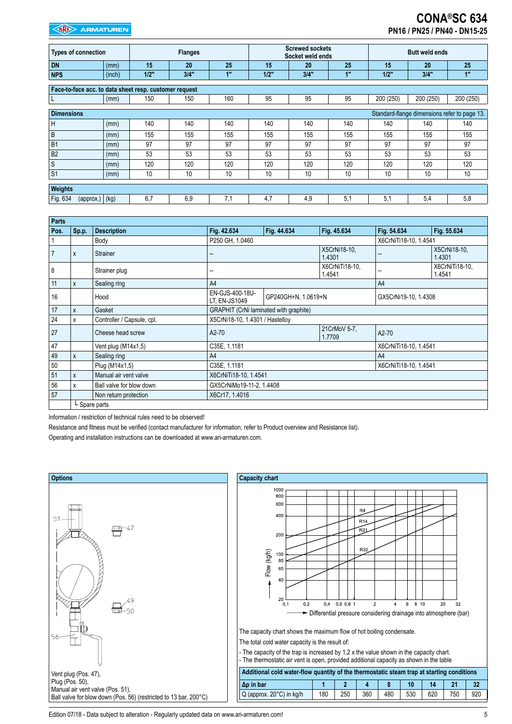# **CONA®SC 634 PN16 / PN25 / PN40 - DN15-25**

| <b>Types of connection</b>                             |              |      | <b>Flanges</b> |     |      | <b>Screwed sockets</b><br>Socket weld ends |     |           | <b>Butt weld ends</b> |                                              |
|--------------------------------------------------------|--------------|------|----------------|-----|------|--------------------------------------------|-----|-----------|-----------------------|----------------------------------------------|
| <b>DN</b>                                              | (mm)         | 15   | 20             | 25  | 15   | 20                                         | 25  | 15        | 20                    | 25                                           |
| <b>NPS</b>                                             | (inch)       | 1/2" | 3/4"           | 1"  | 1/2" | 3/4"                                       | 1"  | 1/2"      | 3/4"                  | 1"                                           |
| Face-to-face acc. to data sheet resp. customer request |              |      |                |     |      |                                            |     |           |                       |                                              |
|                                                        |              |      |                |     |      |                                            |     |           |                       |                                              |
| L                                                      | (mm)         | 150  | 150            | 160 | 95   | 95                                         | 95  | 200 (250) | 200 (250)             | 200 (250)                                    |
|                                                        |              |      |                |     |      |                                            |     |           |                       |                                              |
| <b>Dimensions</b>                                      |              |      |                |     |      |                                            |     |           |                       | Standard-flange dimensions refer to page 13. |
| H                                                      | (mm)         | 140  | 140            | 140 | 140  | 140                                        | 140 | 140       | 140                   | 140                                          |
| $\sf B$                                                | (mm)         | 155  | 155            | 155 | 155  | 155                                        | 155 | 155       | 155                   | 155                                          |
| B <sub>1</sub>                                         | (mm)         | 97   | 97             | 97  | 97   | 97                                         | 97  | 97        | 97                    | 97                                           |
| B <sub>2</sub>                                         | (mm)         | 53   | 53             | 53  | 53   | 53                                         | 53  | 53        | 53                    | 53                                           |
| S                                                      | (mm)         | 120  | 120            | 120 | 120  | 120                                        | 120 | 120       | 120                   | 120                                          |
| S <sub>1</sub>                                         | (mm)         | 10   | 10             | 10  | 10   | 10                                         | 10  | 10        | 10                    | 10                                           |
|                                                        |              |      |                |     |      |                                            |     |           |                       |                                              |
| Weights                                                |              |      |                |     |      |                                            |     |           |                       |                                              |
| Fig. 634<br>(approx.)                                  | $\vert$ (kg) | 6,7  | 6,9            | 7,1 | 4,7  | 4,9                                        | 5.1 | 5,1       | 5,4                   | 5,8                                          |

| <b>Parts</b> |              |                            |                                        |                     |                          |                       |                          |  |
|--------------|--------------|----------------------------|----------------------------------------|---------------------|--------------------------|-----------------------|--------------------------|--|
| Pos.         | $ $ Sp.p.    | <b>Description</b>         | Fig. 42.634                            | Fig. 44.634         | Fig. 45.634              | Fig. 54.634           | Fig. 55.634              |  |
|              |              | Body                       | P250 GH, 1.0460                        |                     |                          |                       | X6CrNiTi18-10, 1.4541    |  |
| 7            | X            | <b>Strainer</b>            |                                        |                     | X5CrNi18-10.<br>1.4301   | --                    | X5CrNi18-10,<br>1.4301   |  |
| 8            |              | Strainer plug              |                                        |                     | X6CrNiTi18-10,<br>1.4541 |                       | X6CrNiTi18-10,<br>1.4541 |  |
| 11           | l x          | Sealing ring               | A4                                     |                     |                          | A <sup>4</sup>        |                          |  |
| 16           |              | Hood                       | EN-GJS-400-18U-<br>LT, EN-JS1049       | GP240GH+N, 1.0619+N |                          | GX5CrNi19-10, 1.4308  |                          |  |
| 17           | X            | Gasket                     | GRAPHIT (CrNi laminated with graphite) |                     |                          |                       |                          |  |
| 24           | X            | Controller / Capsule, cpl. | X5CrNi18-10, 1.4301 / Hastelloy        |                     |                          |                       |                          |  |
| 27           |              | Cheese head screw          | A2-70                                  |                     | 21CrMoV 5-7,<br>1.7709   | A2-70                 |                          |  |
| 47           |              | Vent plug (M14x1,5)        | C35E, 1.1181                           |                     |                          | X6CrNiTi18-10, 1.4541 |                          |  |
| 49           | l x          | Sealing ring               | A4                                     |                     |                          | A <sup>4</sup>        |                          |  |
| 50           |              | Plug (M14x1,5)             | C35E, 1.1181                           |                     |                          | X6CrNiTi18-10, 1.4541 |                          |  |
| 51           | $\mathsf{x}$ | Manual air vent valve      | X6CrNiTi18-10, 1.4541                  |                     |                          |                       |                          |  |
| 56           | X            | Ball valve for blow down   | GX5CrNiMo19-11-2, 1.4408               |                     |                          |                       |                          |  |
| 57           |              | Non return protection      | X6Cr17, 1.4016                         |                     |                          |                       |                          |  |
|              |              | L Spare parts              |                                        |                     |                          |                       |                          |  |

Information / restriction of technical rules need to be observed!

Resistance and fitness must be verified (contact manufacturer for information, refer to Product overview and Resistance list).

Operating and installation instructions can be downloaded at www.ari-armaturen.com.





Edition 07/18 - Data subject to alteration - Regularly updated data on www.ari-armaturen.com!<br>
5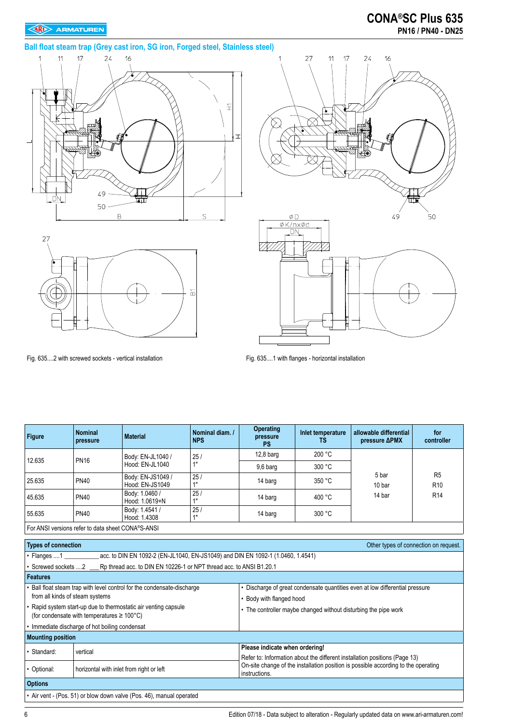# **CONA®SC Plus 635 PN16 / PN40 - DN25**

# **Ball float steam trap (Grey cast iron, SG iron, Forged steel, Stainless steel)**







Fig. 635....2 with screwed sockets - vertical installation Fig. 635....1 with flanges - horizontal installation

| <b>Figure</b>                                                       | <b>Nominal</b><br>pressure                              | <b>Material</b>                                                                 | Nominal diam. /<br><b>NPS</b> | <b>Operating</b><br>pressure<br><b>PS</b>                                                                                                                                         | Inlet temperature<br><b>TS</b> | allowable differential<br>pressure <b>APMX</b> | for<br>controller                 |  |
|---------------------------------------------------------------------|---------------------------------------------------------|---------------------------------------------------------------------------------|-------------------------------|-----------------------------------------------------------------------------------------------------------------------------------------------------------------------------------|--------------------------------|------------------------------------------------|-----------------------------------|--|
|                                                                     |                                                         | Body: EN-JL1040 /                                                               | 25/                           | $12.8b$ arq                                                                                                                                                                       | 200 °C                         |                                                |                                   |  |
| 12.635                                                              | <b>PN16</b>                                             | Hood: EN-JL1040                                                                 | 1"                            | 9,6 barg                                                                                                                                                                          | 300 °C                         |                                                |                                   |  |
| 25.635                                                              | <b>PN40</b>                                             | Body: EN-JS1049 /<br>Hood: EN-JS1049                                            | 25/<br>1"                     | 14 barg                                                                                                                                                                           | 350 °C                         | 5 bar<br>10 bar                                | R <sub>5</sub><br>R <sub>10</sub> |  |
| 45.635                                                              | <b>PN40</b>                                             | Body: 1.0460 /<br>Hood: 1.0619+N                                                | 25/<br>1"                     | 14 barg                                                                                                                                                                           | 400 °C                         | 14 bar                                         | R <sub>14</sub>                   |  |
| 55.635                                                              | <b>PN40</b>                                             | Body: 1.4541 /<br>Hood: 1.4308                                                  | 25/<br>1"                     | 14 barg                                                                                                                                                                           | 300 °C                         |                                                |                                   |  |
| For ANSI versions refer to data sheet CONA®S-ANSI                   |                                                         |                                                                                 |                               |                                                                                                                                                                                   |                                |                                                |                                   |  |
| <b>Types of connection</b><br>Other types of connection on request. |                                                         |                                                                                 |                               |                                                                                                                                                                                   |                                |                                                |                                   |  |
| $\cdot$ Flanges  1                                                  |                                                         | acc. to DIN EN 1092-2 (EN-JL1040, EN-JS1049) and DIN EN 1092-1 (1.0460, 1.4541) |                               |                                                                                                                                                                                   |                                |                                                |                                   |  |
| Screwed sockets 2                                                   |                                                         | Rp thread acc. to DIN EN 10226-1 or NPT thread acc. to ANSI B1.20.1             |                               |                                                                                                                                                                                   |                                |                                                |                                   |  |
| <b>Features</b>                                                     |                                                         |                                                                                 |                               |                                                                                                                                                                                   |                                |                                                |                                   |  |
|                                                                     |                                                         | Ball float steam trap with level control for the condensate-discharge           |                               | • Discharge of great condensate quantities even at low differential pressure                                                                                                      |                                |                                                |                                   |  |
| from all kinds of steam systems                                     |                                                         |                                                                                 |                               | • Body with flanged hood                                                                                                                                                          |                                |                                                |                                   |  |
|                                                                     | (for condensate with temperatures $\geq 100^{\circ}$ C) | • Rapid system start-up due to thermostatic air venting capsule                 |                               | • The controller maybe changed without disturbing the pipe work                                                                                                                   |                                |                                                |                                   |  |
|                                                                     | • Immediate discharge of hot boiling condensat          |                                                                                 |                               |                                                                                                                                                                                   |                                |                                                |                                   |  |
| <b>Mounting position</b>                                            |                                                         |                                                                                 |                               |                                                                                                                                                                                   |                                |                                                |                                   |  |
| · Standard:                                                         | vertical                                                |                                                                                 |                               | Please indicate when ordering!                                                                                                                                                    |                                |                                                |                                   |  |
| • Optional:                                                         | horizontal with inlet from right or left                |                                                                                 |                               | Refer to: Information about the different installation positions (Page 13)<br>On-site change of the installation position is possible according to the operating<br>instructions. |                                |                                                |                                   |  |
| <b>Options</b>                                                      |                                                         |                                                                                 |                               |                                                                                                                                                                                   |                                |                                                |                                   |  |
|                                                                     |                                                         | • Air vent - (Pos. 51) or blow down valve (Pos. 46), manual operated            |                               |                                                                                                                                                                                   |                                |                                                |                                   |  |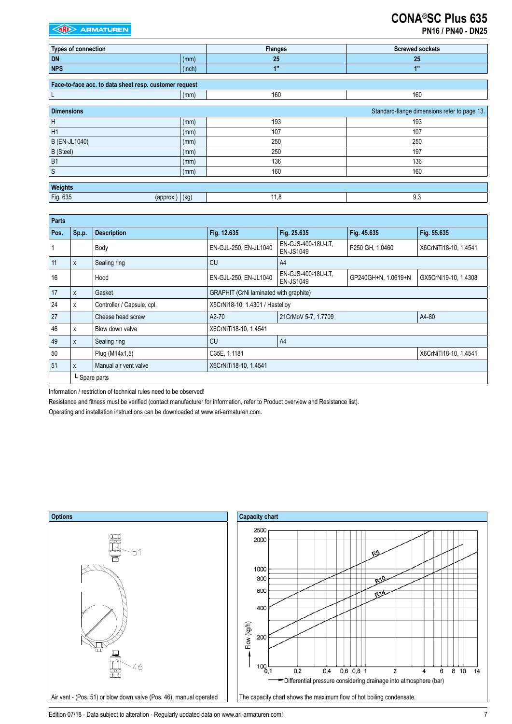|  | <b>PN16 / PN40 - DN25</b> |  |
|--|---------------------------|--|
|--|---------------------------|--|

| <b>Types of connection</b>                             |        | <b>Flanges</b> | <b>Screwed sockets</b>                       |
|--------------------------------------------------------|--------|----------------|----------------------------------------------|
| <b>DN</b>                                              | (mm)   | 25             | 25                                           |
| <b>NPS</b>                                             | (inch) | 1"             | 1"                                           |
|                                                        |        |                |                                              |
| Face-to-face acc. to data sheet resp. customer request |        |                |                                              |
| L                                                      | (mm)   | 160            | 160                                          |
|                                                        |        |                |                                              |
| <b>Dimensions</b>                                      |        |                | Standard-flange dimensions refer to page 13. |
| $\sf H$                                                | (mm)   | 193            | 193                                          |
| H <sub>1</sub>                                         | (mm)   | 107            | 107                                          |
| <b>B</b> (EN-JL1040)                                   | (mm)   | 250            | 250                                          |
| B (Steel)                                              | (mm)   | 250            | 197                                          |
| <b>B1</b>                                              | (mm)   | 136            | 136                                          |
| $\ensuremath{\mathsf{S}}$                              | (mm)   | 160            | 160                                          |
|                                                        |        |                |                                              |
| Weights                                                |        |                |                                              |
| Fig. 635<br>$\left(\text{approx.}\right)$              | (kg)   | 11,8           | 9,3                                          |

| Parts |                  |                            |                                        |                                        |                     |                       |  |  |
|-------|------------------|----------------------------|----------------------------------------|----------------------------------------|---------------------|-----------------------|--|--|
| Pos.  | $\mathsf{Sp.p.}$ | <b>Description</b>         | Fig. 12.635                            | Fig. 25.635                            | Fig. 45.635         | Fig. 55.635           |  |  |
|       |                  | Body                       | EN-GJL-250, EN-JL1040                  | EN-GJS-400-18U-LT,<br><b>EN-JS1049</b> | P250 GH, 1.0460     | X6CrNiTi18-10, 1.4541 |  |  |
| 11    | ΙX.              | Sealing ring               | CU                                     | A4                                     |                     |                       |  |  |
| 16    |                  | Hood                       | EN-GJL-250, EN-JL1040                  | EN-GJS-400-18U-LT,<br><b>EN-JS1049</b> | GP240GH+N, 1.0619+N | GX5CrNi19-10, 1.4308  |  |  |
| 17    | ΙX.              | Gasket                     | GRAPHIT (CrNi laminated with graphite) |                                        |                     |                       |  |  |
| 24    | X                | Controller / Capsule, cpl. | X5CrNi18-10, 1.4301 / Hastelloy        |                                        |                     |                       |  |  |
| 27    |                  | Cheese head screw          | A2-70                                  | 21CrMoV 5-7, 1.7709                    |                     | A4-80                 |  |  |
| 46    | X                | Blow down valve            | X6CrNiTi18-10, 1.4541                  |                                        |                     |                       |  |  |
| 49    | ΙX.              | Sealing ring               | CU                                     | A <sup>4</sup>                         |                     |                       |  |  |
| 50    |                  | Plug (M14x1,5)             | C35E, 1.1181<br>X6CrNiTi18-10, 1.4541  |                                        |                     |                       |  |  |
| 51    | ΙX.              | Manual air vent valve      | X6CrNiTi18-10, 1.4541                  |                                        |                     |                       |  |  |
|       | L Spare parts    |                            |                                        |                                        |                     |                       |  |  |

Information / restriction of technical rules need to be observed!

Resistance and fitness must be verified (contact manufacturer for information, refer to Product overview and Resistance list).

Operating and installation instructions can be downloaded at www.ari-armaturen.com.



Edition 07/18 - Data subject to alteration - Regularly updated data on www.ari-armaturen.com!<br>7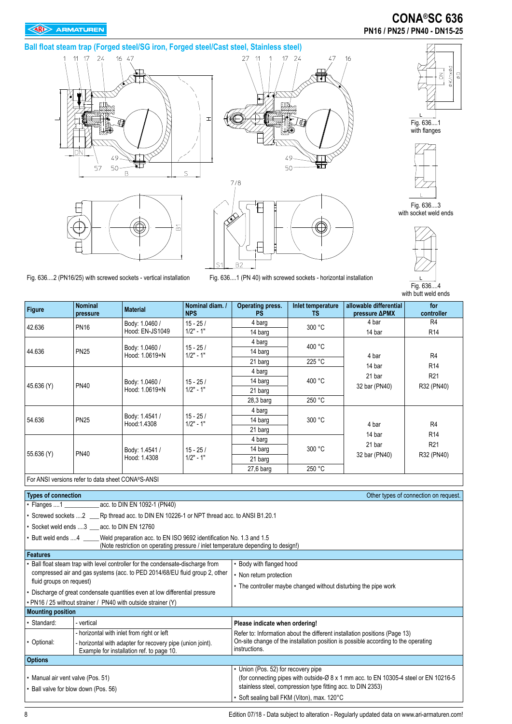# **CONA®SC 636 PN16 / PN25 / PN40 - DN15-25**

### **Ball float steam trap (Forged steel/SG iron, Forged steel/Cast steel, Stainless steel)**







Fig. 636....1 with flanges

**DØXV/N**  $\mathbb{Q} \, \phi$  $\leq$ 

Fig. 636....3 with socket weld ends



Fig. 636....4 with butt weld ends

| <b>Figure</b> | <b>Nominal</b><br>pressure | <b>Material</b>                  | Nominal diam. /<br><b>NPS</b> | Operating press.<br><b>PS</b> | Inlet temperature<br><b>TS</b> | allowable differential<br>pressure <b>APMX</b> | for<br>controller |
|---------------|----------------------------|----------------------------------|-------------------------------|-------------------------------|--------------------------------|------------------------------------------------|-------------------|
| 42.636        | <b>PN16</b>                | Body: 1.0460 /                   | $15 - 25/$                    | 4 barg                        | 300 °C                         | 4 bar                                          | R <sub>4</sub>    |
|               |                            | Hood: EN-JS1049                  | $1/2" - 1"$                   | 14 barg                       |                                | 14 bar                                         | R <sub>14</sub>   |
|               |                            |                                  |                               | 4 barg                        | 400 °C                         |                                                |                   |
| 44.636        | <b>PN25</b>                | Body: 1.0460 /<br>Hood: 1.0619+N | $15 - 25/$<br>$1/2" - 1"$     | 14 barg                       |                                | 4 bar                                          | R <sub>4</sub>    |
|               |                            |                                  |                               | 21 barg                       | 225 °C                         | 14 bar                                         | R <sub>14</sub>   |
|               |                            | Body: 1.0460 /<br>Hood: 1.0619+N | $15 - 25/$<br>$1/2" - 1"$     | 4 barg                        | 400 °C                         | 21 bar<br>32 bar (PN40)                        | R <sub>21</sub>   |
|               | <b>PN40</b>                |                                  |                               | 14 barg                       |                                |                                                |                   |
| 45.636 (Y)    |                            |                                  |                               | 21 barg                       |                                |                                                | R32 (PN40)        |
|               |                            |                                  |                               | $28.3b$ arq                   | 250 °C                         |                                                |                   |
|               |                            |                                  |                               | 4 barg                        |                                | 4 bar<br>14 bar                                |                   |
| 54.636        | <b>PN25</b>                | Body: 1.4541 /<br>Hood:1.4308    | $15 - 25/$<br>$1/2" - 1"$     | 14 barg                       | 300 °C                         |                                                | R <sub>4</sub>    |
|               |                            |                                  |                               | 21 barg                       |                                |                                                | R <sub>14</sub>   |
|               |                            |                                  |                               | 4 barg                        | 300 °C                         |                                                |                   |
|               | <b>PN40</b>                | Body: 1.4541 /<br>Hood: 1.4308   | $15 - 25/$<br>$1/2" - 1"$     | 14 barg                       |                                | 21 bar<br>32 bar (PN40)                        | R <sub>21</sub>   |
| 55.636 (Y)    |                            |                                  |                               | 21 barg                       |                                |                                                | R32 (PN40)        |
|               |                            |                                  |                               | $27.6b$ arq                   | 250 °C                         |                                                |                   |

B2

Fig. 636....2 (PN16/25) with screwed sockets - vertical installation Fig. 636....1 (PN 40) with screwed sockets - horizontal installation

For ANSI versions refer to data sheet CONA®S-ANSI

| <b>Types of connection</b>                                 |                                                                                                                                                                                  | Other types of connection on request.                                                               |  |  |  |
|------------------------------------------------------------|----------------------------------------------------------------------------------------------------------------------------------------------------------------------------------|-----------------------------------------------------------------------------------------------------|--|--|--|
| • Flanges 1 _________________ acc. to DIN EN 1092-1 (PN40) |                                                                                                                                                                                  |                                                                                                     |  |  |  |
|                                                            | • Screwed sockets 2 ____ Rp thread acc. to DIN EN 10226-1 or NPT thread acc. to ANSI B1.20.1                                                                                     |                                                                                                     |  |  |  |
|                                                            | • Socket weld ends 3 acc. to DIN EN 12760                                                                                                                                        |                                                                                                     |  |  |  |
|                                                            | • Butt weld ends 4 _____Weld preparation acc. to EN ISO 9692 identification No. 1.3 and 1.5<br>(Note restriction on operating pressure / inlet temperature depending to design!) |                                                                                                     |  |  |  |
| <b>Features</b>                                            |                                                                                                                                                                                  |                                                                                                     |  |  |  |
|                                                            | Ball float steam trap with level controller for the condensate-discharge from                                                                                                    | • Body with flanged hood                                                                            |  |  |  |
|                                                            | compressed air and gas systems (acc. to PED 2014/68/EU fluid group 2, other                                                                                                      | • Non return protection                                                                             |  |  |  |
| fluid groups on request)                                   |                                                                                                                                                                                  | • The controller maybe changed without disturbing the pipe work                                     |  |  |  |
|                                                            | • Discharge of great condensate quantities even at low differential pressure                                                                                                     |                                                                                                     |  |  |  |
|                                                            | . PN16 / 25 without strainer / PN40 with outside strainer (Y)                                                                                                                    |                                                                                                     |  |  |  |
| <b>Mounting position</b>                                   |                                                                                                                                                                                  |                                                                                                     |  |  |  |
| • Standard:                                                | - vertical                                                                                                                                                                       | Please indicate when ordering!                                                                      |  |  |  |
|                                                            | - horizontal with inlet from right or left                                                                                                                                       | Refer to: Information about the different installation positions (Page 13)                          |  |  |  |
| • Optional:                                                | - horizontal with adapter for recovery pipe (union joint).<br>Example for installation ref. to page 10.                                                                          | On-site change of the installation position is possible according to the operating<br>instructions. |  |  |  |
| <b>Options</b>                                             |                                                                                                                                                                                  |                                                                                                     |  |  |  |
|                                                            |                                                                                                                                                                                  | • Union (Pos. 52) for recovery pipe                                                                 |  |  |  |
| • Manual air vent valve (Pos. 51)                          |                                                                                                                                                                                  | (for connecting pipes with outside-Ø 8 x 1 mm acc. to EN 10305-4 steel or EN 10216-5                |  |  |  |
| • Ball valve for blow down (Pos. 56)                       |                                                                                                                                                                                  | stainless steel, compression type fitting acc. to DIN 2353)                                         |  |  |  |
|                                                            |                                                                                                                                                                                  | • Soft sealing ball FKM (Viton), max. 120°C                                                         |  |  |  |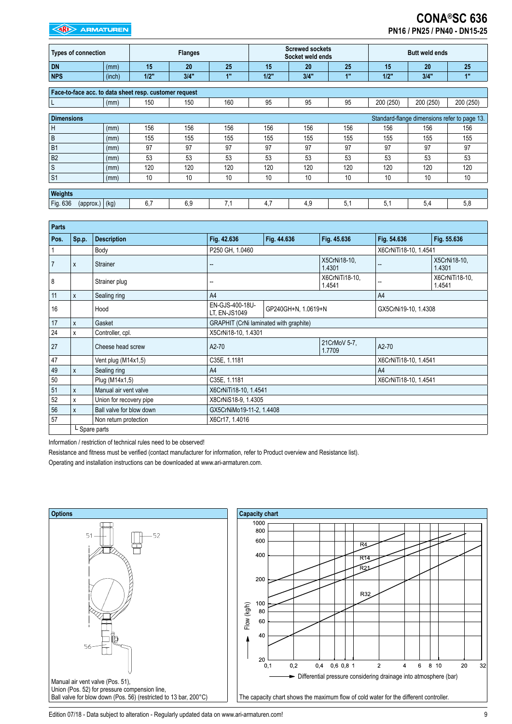# **CONA®SC 636 PN16 / PN25 / PN40 - DN15-25**

| <b>Types of connection</b> |                                                        | <b>Flanges</b> |      | <b>Screwed sockets</b><br>Socket weld ends |      |      | <b>Butt weld ends</b> |           |           |                                              |
|----------------------------|--------------------------------------------------------|----------------|------|--------------------------------------------|------|------|-----------------------|-----------|-----------|----------------------------------------------|
| <b>DN</b>                  | (mm)                                                   | 15             | 20   | 25                                         | 15   | 20   | 25                    | 15        | 20        | 25                                           |
| <b>NPS</b>                 | (inch)                                                 | 1/2"           | 3/4" | 1"                                         | 1/2" | 3/4" | 1"                    | 1/2"      | 3/4"      | 1"                                           |
|                            |                                                        |                |      |                                            |      |      |                       |           |           |                                              |
|                            | Face-to-face acc. to data sheet resp. customer request |                |      |                                            |      |      |                       |           |           |                                              |
| L                          | (mm)                                                   | 150            | 150  | 160                                        | 95   | 95   | 95                    | 200 (250) | 200 (250) | 200 (250)                                    |
|                            |                                                        |                |      |                                            |      |      |                       |           |           |                                              |
| <b>Dimensions</b>          |                                                        |                |      |                                            |      |      |                       |           |           | Standard-flange dimensions refer to page 13. |
| H                          | (mm)                                                   | 156            | 156  | 156                                        | 156  | 156  | 156                   | 156       | 156       | 156                                          |
| B                          | (mm)                                                   | 155            | 155  | 155                                        | 155  | 155  | 155                   | 155       | 155       | 155                                          |
| <b>B1</b>                  | (mm)                                                   | 97             | 97   | 97                                         | 97   | 97   | 97                    | 97        | 97        | 97                                           |
| B <sub>2</sub>             | (mm)                                                   | 53             | 53   | 53                                         | 53   | 53   | 53                    | 53        | 53        | 53                                           |
| S                          | (mm)                                                   | 120            | 120  | 120                                        | 120  | 120  | 120                   | 120       | 120       | 120                                          |
| S <sub>1</sub>             | (mm)                                                   | 10             | 10   | 10                                         | 10   | 10   | 10                    | 10        | 10        | 10                                           |
|                            |                                                        |                |      |                                            |      |      |                       |           |           |                                              |
| Weights                    |                                                        |                |      |                                            |      |      |                       |           |           |                                              |
| Fig. 636                   | (kg)<br>(approx.)                                      | 6,7            | 6,9  | 7,1                                        | 4,7  | 4,9  | 5,1                   | 5,1       | 5,4       | 5,8                                          |

| <b>Parts</b>   |                           |                          |                                                         |             |                        |                       |                          |
|----------------|---------------------------|--------------------------|---------------------------------------------------------|-------------|------------------------|-----------------------|--------------------------|
| Pos.           | Sp.p.                     | <b>Description</b>       | Fig. 42.636                                             | Fig. 44.636 | Fig. 45.636            | Fig. 54.636           | Fig. 55.636              |
|                |                           | Body                     | P250 GH, 1.0460                                         |             |                        | X6CrNiTi18-10, 1.4541 |                          |
| $\overline{7}$ | $\boldsymbol{\mathsf{x}}$ | <b>Strainer</b>          | --                                                      |             | X5CrNi18-10,<br>1.4301 | --                    | X5CrNi18-10,<br>1.4301   |
| 8              |                           | Strainer plug            | 1.4541                                                  |             | X6CrNiTi18-10,         |                       | X6CrNiTi18-10.<br>1.4541 |
| 11             | $\mathsf{X}$              | Sealing ring             | A4                                                      |             |                        | A <sup>4</sup>        |                          |
| 16             |                           | Hood                     | EN-GJS-400-18U-<br>GP240GH+N, 1.0619+N<br>LT. EN-JS1049 |             | GX5CrNi19-10, 1.4308   |                       |                          |
| 17             | $\mathsf{x}$              | Gasket                   | GRAPHIT (CrNi laminated with graphite)                  |             |                        |                       |                          |
| 24             | X                         | Controller, cpl.         | X5CrNi18-10, 1.4301                                     |             |                        |                       |                          |
| 27             |                           | Cheese head screw        | 21CrMoV 5-7,<br>A2-70<br>1.7709                         |             | A2-70                  |                       |                          |
| 47             |                           | Vent plug (M14x1,5)      | C35E, 1.1181                                            |             |                        | X6CrNiTi18-10, 1.4541 |                          |
| 49             | $\mathsf{X}$              | Sealing ring             | A4                                                      |             |                        | A <sup>4</sup>        |                          |
| 50             |                           | Plug (M14x1,5)           | C35E, 1.1181                                            |             |                        | X6CrNiTi18-10, 1.4541 |                          |
| 51             | $\mathsf{x}$              | Manual air vent valve    | X6CrNiTi18-10, 1.4541                                   |             |                        |                       |                          |
| 52             | X                         | Union for recovery pipe  | X8CrNiS18-9, 1.4305                                     |             |                        |                       |                          |
| 56             | $\mathsf{X}$              | Ball valve for blow down | GX5CrNiMo19-11-2, 1.4408                                |             |                        |                       |                          |
| 57             |                           | Non return protection    | X6Cr17, 1.4016                                          |             |                        |                       |                          |
|                |                           | L Spare parts            |                                                         |             |                        |                       |                          |

Information / restriction of technical rules need to be observed!

Resistance and fitness must be verified (contact manufacturer for information, refer to Product overview and Resistance list).

Operating and installation instructions can be downloaded at www.ari-armaturen.com.



Edition 07/18 - Data subject to alteration - Regularly updated data on www.ari-armaturen.com! 9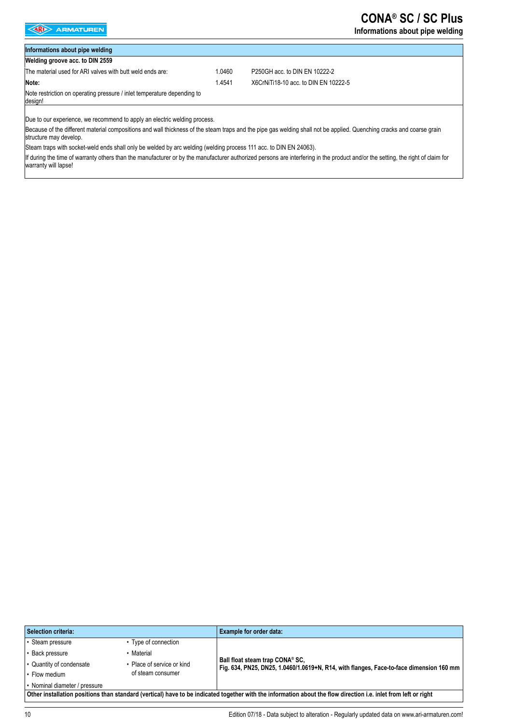# **CONA® SC / SC Plus**

### **Informations about pipe welding**

# **Informations about pipe welding**

**Welding groove acc. to DIN 2559**

The material used for ARI valves with butt weld ends are: 1.0460 P250GH acc. to DIN EN 10222-2 **Note:** 

1.4541 X6CrNiTi18-10 acc. to DIN EN 10222-5

Note restriction on operating pressure / inlet temperature depending to design!

Due to our experience, we recommend to apply an electric welding process.

Because of the different material compositions and wall thickness of the steam traps and the pipe gas welding shall not be applied. Quenching cracks and coarse grain structure may develop.

Steam traps with socket-weld ends shall only be welded by arc welding (welding process 111 acc. to DIN EN 24063).

If during the time of warranty others than the manufacturer or by the manufacturer authorized persons are interfering in the product and/or the setting, the right of claim for warranty will lapse!

| <b>Selection criteria:</b>                                                                                                                                      |                            | Example for order data:                                                                                                    |  |  |
|-----------------------------------------------------------------------------------------------------------------------------------------------------------------|----------------------------|----------------------------------------------------------------------------------------------------------------------------|--|--|
| • Steam pressure                                                                                                                                                | • Type of connection       |                                                                                                                            |  |  |
| · Back pressure                                                                                                                                                 | Material                   |                                                                                                                            |  |  |
| • Quantity of condensate                                                                                                                                        | • Place of service or kind | Ball float steam trap CONA® SC,<br>Fig. 634, PN25, DN25, 1.0460/1.0619+N, R14, with flanges, Face-to-face dimension 160 mm |  |  |
| • Flow medium                                                                                                                                                   | of steam consumer          |                                                                                                                            |  |  |
| • Nominal diameter / pressure                                                                                                                                   |                            |                                                                                                                            |  |  |
| Other installation positions than standard (vertical) have to be indicated together with the information about the flow direction i.e. inlet from left or right |                            |                                                                                                                            |  |  |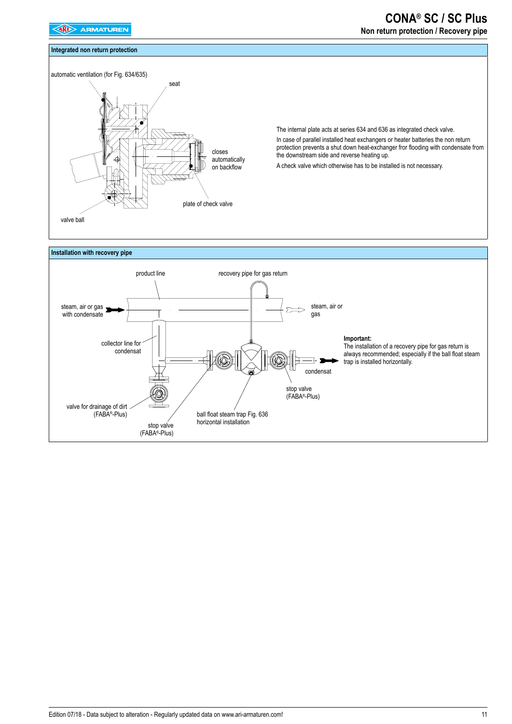### **Integrated non return protection**

# seat

**CONA® SC / SC Plus Non return protection / Recovery pipe**

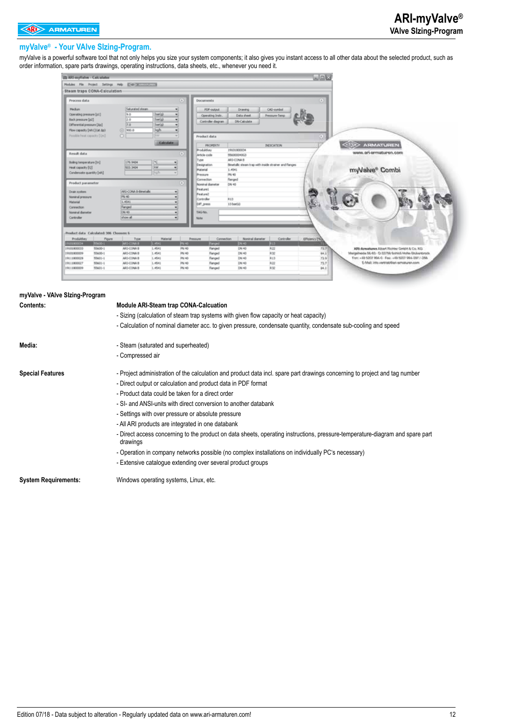### **myValve® - Your VAlve SIzing-Program.**

myValve is a powerful software tool that not only helps you size your system components; it also gives you instant access to all other data about the selected product, such as order information, spare parts drawings, operating instructions, data sheets, etc., whenever you need it.

| illi ARI myValve - Calculator                                                                                                                                                                                                            | $\Box$ ex                                                                                                                                                                                                                                           |
|------------------------------------------------------------------------------------------------------------------------------------------------------------------------------------------------------------------------------------------|-----------------------------------------------------------------------------------------------------------------------------------------------------------------------------------------------------------------------------------------------------|
| Modules File Project Settings Help (ENR) Contractors and                                                                                                                                                                                 |                                                                                                                                                                                                                                                     |
| Steam traps CONA-Calculation                                                                                                                                                                                                             |                                                                                                                                                                                                                                                     |
| Process data<br>(R)                                                                                                                                                                                                                      | $\left( 0\right)$<br><b>Documents</b>                                                                                                                                                                                                               |
| <b>Saturated steam</b><br><b>Hecker</b><br>barial<br>Operating pressure [pd]<br>la.n<br>۰<br>Back pressure [p2]<br>barial<br>2.0<br>٠<br>bartist<br>Differential pressure [Ap]<br>7.0<br>Flow capacity [mhi] (at Ap)<br>(6) 900.0<br>kgh | <b>PDF-output</b><br><b>Drawing</b><br>CAO-symbol<br>Data sheet<br><b>Pressure-Teng</b><br>Operating Instr.<br>DN-Calculate<br>Controller diagram                                                                                                   |
| Possible heat capacity [Om]<br>$\circ$<br><b>Calculate</b>                                                                                                                                                                               | Product data<br><b>ARMATUREN</b><br><b>PROPERTY</b><br><b>INDICATION</b>                                                                                                                                                                            |
| Result data<br>œ<br>Boling temperature [tn]<br>179.9404<br>×<br><b>GW</b><br>Heat capacity [Q]<br>503.3404<br>۰<br>Condensate quantity [mh]<br>-alb                                                                                      | <b>Produktion</b><br>19101800034<br>www.ari-ermaturen.com<br>Article code<br>956000040G3<br>ARE-CONA B<br>Type<br>Binetalic steam trap with inside strainer and flanges<br>Designation<br>myValve® Combi<br>1.4541<br>Material<br>PN 40<br>Pressure |
| Product parameter<br>œ                                                                                                                                                                                                                   | Connection<br>Ranged<br>Nominal diameter<br>CAL40                                                                                                                                                                                                   |
| AR3-CONA B-Binetallo<br>Drain system<br>PN 40<br>Nominal pressure<br>1.4541<br>Material<br>Nanged<br>Connection<br>CAL40<br>Nominal diameter<br>show all<br>Controller                                                                   | Feature1<br>Feature2<br>RED<br>Controller<br>DIFf press<br>13 bartial<br>TAG-No.<br>Note                                                                                                                                                            |
| Product data Calculated: 386 Choosen: 6                                                                                                                                                                                                  |                                                                                                                                                                                                                                                     |
| Material<br>Produktivey<br>Figure<br>Type<br>85600-1<br>ARE-CONA B<br>101800034<br>1.4541<br><b>ITN</b> 40                                                                                                                               | Noninal diameter<br><b>Elforno (%)</b><br>Ревоздже<br>Connection<br>Controller<br><b>Parced</b><br><b>DV-40</b><br><b>PIS</b>                                                                                                                       |
| 19001800033<br>55600-1<br>ARS-CONA B<br>1.4541<br><b>PN 40</b><br>PM 40<br>55600-1<br>AR1-CONA B<br>1.4541<br>19101800009                                                                                                                | 727<br>Flanged<br>DRI 40<br>购益<br>AP6-Armattanes, Albert Richter Grobht & Co. KG.<br>R32<br>DW-40<br>84.1<br>Flanged<br>Marigalhasda 56-60 - D./23759 Scirico Hote-Stukantunda.                                                                     |
| PN 40<br><b>SSACC-1</b><br>AR1-CONA B<br>1.4541<br>19111800029<br>55601-1<br>ARS-CONA B<br>1.4541<br>PN 40<br>19111800027<br>55601-1<br>AR1-CONA B<br>1.4541<br>PN 40<br>19111900009                                                     | R13<br>72.9<br>The: +40 5007 994-0 - Fex: +49 5257 994-287 / -259.<br>DW 40<br>flanged<br>72.7<br>E-Mail: into unitriabilitati sematauren.com<br>DN 40<br>RZZ<br>flanged<br>04.1<br>R32<br>DW 40<br>Fanged                                          |
|                                                                                                                                                                                                                                          |                                                                                                                                                                                                                                                     |

| myValve - VAIve Sizing-Program |                                                                                                                                           |  |  |  |  |  |
|--------------------------------|-------------------------------------------------------------------------------------------------------------------------------------------|--|--|--|--|--|
| <b>Contents:</b>               | <b>Module ARI-Steam trap CONA-Calcuation</b>                                                                                              |  |  |  |  |  |
|                                | - Sizing (calculation of steam trap systems with given flow capacity or heat capacity)                                                    |  |  |  |  |  |
|                                | - Calculation of nominal diameter acc. to given pressure, condensate quantity, condensate sub-cooling and speed                           |  |  |  |  |  |
| Media:                         | - Steam (saturated and superheated)                                                                                                       |  |  |  |  |  |
|                                | - Compressed air                                                                                                                          |  |  |  |  |  |
| <b>Special Features</b>        | - Project administration of the calculation and product data incl. spare part drawings concerning to project and tag number               |  |  |  |  |  |
|                                | - Direct output or calculation and product data in PDF format                                                                             |  |  |  |  |  |
|                                | - Product data could be taken for a direct order                                                                                          |  |  |  |  |  |
|                                | - SI- and ANSI-units with direct conversion to another databank                                                                           |  |  |  |  |  |
|                                | - Settings with over pressure or absolute pressure                                                                                        |  |  |  |  |  |
|                                | - All ARI products are integrated in one databank                                                                                         |  |  |  |  |  |
|                                | - Direct access concerning to the product on data sheets, operating instructions, pressure-temperature-diagram and spare part<br>drawings |  |  |  |  |  |
|                                | - Operation in company networks possible (no complex installations on individually PC's necessary)                                        |  |  |  |  |  |
|                                | - Extensive catalogue extending over several product groups                                                                               |  |  |  |  |  |
| <b>System Requirements:</b>    | Windows operating systems, Linux, etc.                                                                                                    |  |  |  |  |  |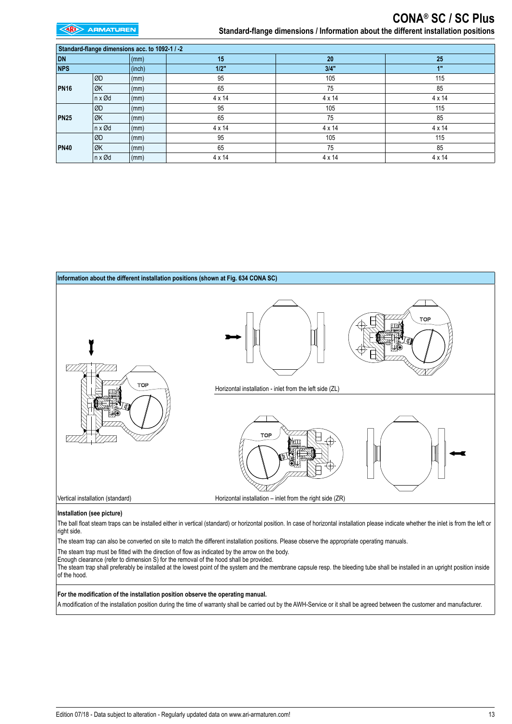**EXP** ARMATUREN

| Standard-flange dimensions acc. to 1092-1 / -2 |                          |                 |        |               |        |  |  |
|------------------------------------------------|--------------------------|-----------------|--------|---------------|--------|--|--|
| <b>DN</b>                                      |                          | $\mathsf{m}$    | 15     | 20            | 25     |  |  |
| <b>NPS</b>                                     |                          | (inch)          | 1/2"   | 3/4"          | 1"     |  |  |
| <b>PN16</b>                                    | ØD                       | $\mathsf{(mm)}$ | 95     | 105           | 115    |  |  |
|                                                | ∣ØK                      | $\mathsf{(mm)}$ | 65     | 75            | 85     |  |  |
|                                                | $\ln x \, \varnothing d$ | $\mathsf{m}$    | 4 x 14 | $4 \times 14$ | 4 x 14 |  |  |
|                                                | lød.                     | $\mathsf{(mm)}$ | 95     | 105           | 115    |  |  |
| PN25                                           | ∣ØK                      | $\vert$ (mm)    | 65     | 75            | 85     |  |  |
|                                                | $\ln x \, \varnothing d$ | $\mathsf{(mm)}$ | 4 x 14 | $4 \times 14$ | 4 x 14 |  |  |
| PN40                                           | ØD                       | $\vert$ (mm)    | 95     | 105           | 115    |  |  |
|                                                | ∣ØK                      | $\mathsf{m}$    | 65     | 75            | 85     |  |  |
|                                                | $\ln x \, \varnothing d$ | $\vert$ (mm)    | 4 x 14 | $4 \times 14$ | 4 x 14 |  |  |